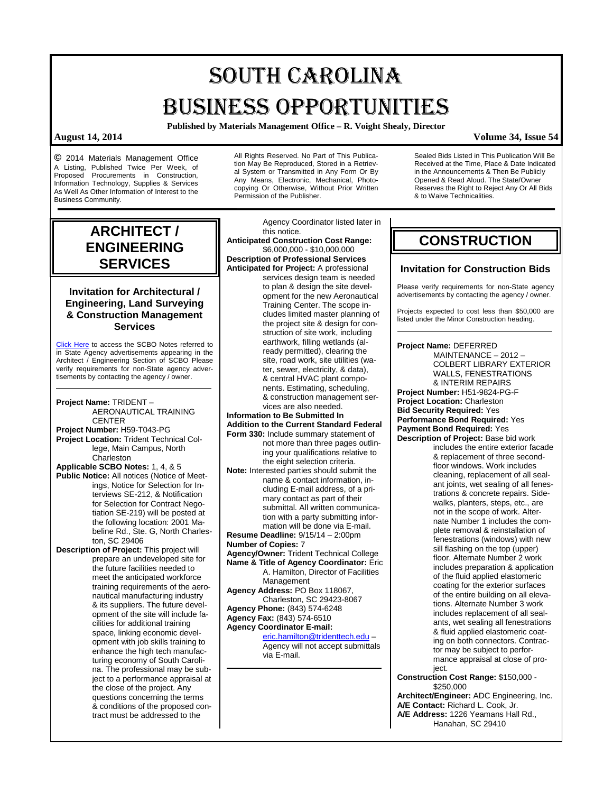# SOUTH CAROLINA BUSINESS OPPORTUNITIES

**Published by Materials Management Office – R. Voight Shealy, Director**

**©** 2014 Materials Management Office A Listing, Published Twice Per Week, of Proposed Procurements in Construction, Information Technology, Supplies & Services As Well As Other Information of Interest to the Business Community.

All Rights Reserved. No Part of This Publication May Be Reproduced, Stored in a Retrieval System or Transmitted in Any Form Or By Any Means, Electronic, Mechanical, Photocopying Or Otherwise, Without Prior Written Permission of the Publisher.

**ARCHITECT / ENGINEERING SERVICES**

## **Invitation for Architectural / Engineering, Land Surveying & Construction Management Services**

[Click Here](http://www.mmo.sc.gov/PS/general/scbo/SCBO_Notes_060512.pdf) to access the SCBO Notes referred to in State Agency advertisements appearing in the Architect / Engineering Section of SCBO Please verify requirements for non-State agency advertisements by contacting the agency / owner.

**Project Name:** TRIDENT – AERONAUTICAL TRAINING **CENTER Project Number:** H59-T043-PG **Project Location:** Trident Technical College, Main Campus, North **Charleston Applicable SCBO Notes:** 1, 4, & 5 **Public Notice:** All notices (Notice of Meetings, Notice for Selection for Interviews SE-212, & Notification for Selection for Contract Negotiation SE-219) will be posted at

the following location: 2001 Mabeline Rd., Ste. G, North Charleston, SC 29406 **Description of Project:** This project will

prepare an undeveloped site for the future facilities needed to meet the anticipated workforce training requirements of the aeronautical manufacturing industry & its suppliers. The future development of the site will include facilities for additional training space, linking economic development with job skills training to enhance the high tech manufacturing economy of South Carolina. The professional may be subject to a performance appraisal at the close of the project. Any questions concerning the terms & conditions of the proposed contract must be addressed to the

Agency Coordinator listed later in this notice.

**Anticipated Construction Cost Range:** \$6,000,000 - \$10,000,000 **Description of Professional Services**

**Anticipated for Project:** A professional services design team is needed to plan & design the site development for the new Aeronautical Training Center. The scope includes limited master planning of the project site & design for construction of site work, including earthwork, filling wetlands (already permitted), clearing the site, road work, site utilities (water, sewer, electricity, & data), & central HVAC plant components. Estimating, scheduling, & construction management services are also needed.

## **Information to Be Submitted In Addition to the Current Standard Federal**

- **Form 330:** Include summary statement of not more than three pages outlining your qualifications relative to the eight selection criteria.
- **Note:** Interested parties should submit the name & contact information, including E-mail address, of a primary contact as part of their submittal. All written communication with a party submitting information will be done via E-mail.

**Resume Deadline:** 9/15/14 – 2:00pm

**Number of Copies:** 7

- **Agency/Owner:** Trident Technical College
- **Name & Title of Agency Coordinator:** Eric A. Hamilton, Director of Facilities Management **Agency Address:** PO Box 118067,
- Charleston, SC 29423-8067 **Agency Phone:** (843) 574-6248
- **Agency Fax:** (843) 574-6510
- **Agency Coordinator E-mail:**

[eric.hamilton@tridenttech.edu](mailto:eric.hamilton@tridenttech.edu) – Agency will not accept submittals via E-mail.

## **CONSTRUCTION**

& to Waive Technicalities.

Sealed Bids Listed in This Publication Will Be Received at the Time, Place & Date Indicated in the Announcements & Then Be Publicly Opened & Read Aloud. The State/Owner Reserves the Right to Reject Any Or All Bids

## **Invitation for Construction Bids**

Please verify requirements for non-State agency advertisements by contacting the agency / owner.

Projects expected to cost less than \$50,000 are listed under the Minor Construction heading.

## **Project Name:** DEFERRED

MAINTENANCE – 2012 – COLBERT LIBRARY EXTERIOR WALLS, FENESTRATIONS & INTERIM REPAIRS **Project Number:** H51-9824-PG-F **Project Location:** Charleston **Bid Security Required:** Yes **Performance Bond Required:** Yes **Payment Bond Required:** Yes **Description of Project:** Base bid work includes the entire exterior facade & replacement of three secondfloor windows. Work includes cleaning, replacement of all sealant joints, wet sealing of all fenestrations & concrete repairs. Sidewalks, planters, steps, etc., are not in the scope of work. Alternate Number 1 includes the complete removal & reinstallation of fenestrations (windows) with new sill flashing on the top (upper) floor. Alternate Number 2 work includes preparation & application of the fluid applied elastomeric coating for the exterior surfaces of the entire building on all elevations. Alternate Number 3 work includes replacement of all sealants, wet sealing all fenestrations & fluid applied elastomeric coating on both connectors. Contractor may be subject to performance appraisal at close of project. **Construction Cost Range:** \$150,000 -

\$250,000 **Architect/Engineer:** ADC Engineering, Inc. **A/E Contact:** Richard L. Cook, Jr. **A/E Address:** 1226 Yeamans Hall Rd., Hanahan, SC 29410

**August 14, 2014 Volume 34, Issue 54**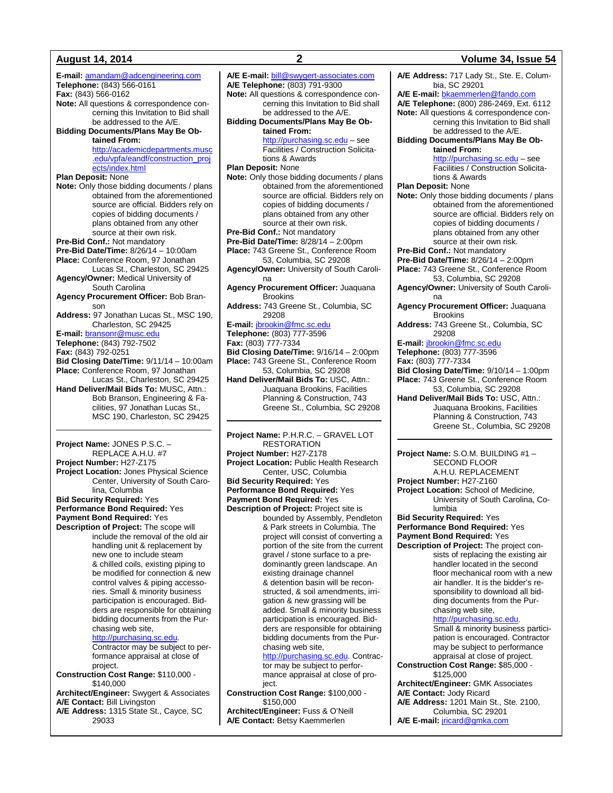**E-mail:** [amandam@adcengineering.com](mailto:amandam@adcengineering.com) **Telephone:** (843) 566-0161 **Fax:** (843) 566-0162 **Note:** All questions & correspondence concerning this Invitation to Bid shall be addressed to the A/E. **Bidding Documents/Plans May Be Obtained From:** [http://academicdepartments.musc](http://academicdepartments.musc.edu/vpfa/eandf/construction_projects/index.html) [.edu/vpfa/eandf/construction\\_proj](http://academicdepartments.musc.edu/vpfa/eandf/construction_projects/index.html) [ects/index.html](http://academicdepartments.musc.edu/vpfa/eandf/construction_projects/index.html) **Plan Deposit:** None **Note:** Only those bidding documents / plans obtained from the aforementioned source are official. Bidders rely on copies of bidding documents / plans obtained from any other source at their own risk. **Pre-Bid Conf.:** Not mandatory **Pre-Bid Date/Time:** 8/26/14 – 10:00am **Place:** Conference Room, 97 Jonathan Lucas St., Charleston, SC 29425 **Agency/Owner:** Medical University of South Carolina **Agency Procurement Officer:** Bob Branson **Address:** 97 Jonathan Lucas St., MSC 190, Charleston, SC 29425 **E-mail:** [bransonr@musc.edu](mailto:bransonr@musc.edu) **Telephone:** (843) 792-7502 **Fax:** (843) 792-0251 **Bid Closing Date/Time:** 9/11/14 – 10:00am **Place:** Conference Room, 97 Jonathan Lucas St., Charleston, SC 29425 **Hand Deliver/Mail Bids To:** MUSC, Attn.: Bob Branson, Engineering & Facilities, 97 Jonathan Lucas St., MSC 190, Charleston, SC 29425 **Project Name:** JONES P.S.C. – REPLACE A.H.U. #7

**Project Number:** H27-Z175 **Project Location:** Jones Physical Science Center, University of South Carolina, Columbia **Bid Security Required:** Yes

**Performance Bond Required:** Yes **Payment Bond Required:** Yes

**Description of Project:** The scope will include the removal of the old air handling unit & replacement by new one to include steam & chilled coils, existing piping to be modified for connection & new control valves & piping accessories. Small & minority business participation is encouraged. Bidders are responsible for obtaining bidding documents from the Purchasing web site,

## [http://purchasing.sc.edu.](http://purchasing.sc.edu/)

Contractor may be subject to performance appraisal at close of project.

**Construction Cost Range:** \$110,000 - \$140,000

**Architect/Engineer:** Swygert & Associates **A/E Contact:** Bill Livingston **A/E Address:** 1315 State St., Cayce, SC

29033

**A/E E-mail:** [bill@swygert-associates.com](mailto:bill@swygert-associates.com) **A/E Telephone:** (803) 791-9300 **Note:** All questions & correspondence concerning this Invitation to Bid shall be addressed to the A/E. **Bidding Documents/Plans May Be Obtained From:**

[http://purchasing.sc.edu](http://purchasing.sc.edu/) – see Facilities / Construction Solicitations & Awards

**Plan Deposit:** None

- **Note:** Only those bidding documents / plans obtained from the aforementioned source are official. Bidders rely on copies of bidding documents / plans obtained from any other source at their own risk.
- **Pre-Bid Conf.:** Not mandatory
- **Pre-Bid Date/Time:** 8/28/14 2:00pm **Place:** 743 Greene St., Conference Room
- 53, Columbia, SC 29208 **Agency/Owner:** University of South Carolina
- **Agency Procurement Officer:** Juaquana Brookins
- **Address:** 743 Greene St., Columbia, SC 29208
- **E-mail:** [jbrookin@fmc.sc.edu](mailto:jbrookin@fmc.sc.edu) **Telephone:** (803) 777-3596
- **Fax:** (803) 777-7334
- **Bid Closing Date/Time:** 9/16/14 2:00pm
- **Place:** 743 Greene St., Conference Room
- 53, Columbia, SC 29208 **Hand Deliver/Mail Bids To:** USC, Attn.: Juaquana Brookins, Facilities Planning & Construction, 743 Greene St., Columbia, SC 29208

**Project Name:** P.H.R.C. – GRAVEL LOT RESTORATION **Project Number:** H27-Z178 **Project Location:** Public Health Research Center, USC, Columbia **Bid Security Required:** Yes **Performance Bond Required:** Yes **Payment Bond Required:** Yes **Description of Project:** Project site is bounded by Assembly, Pendleton & Park streets in Columbia. The project will consist of converting a portion of the site from the current gravel / stone surface to a predominantly green landscape. An existing drainage channel & detention basin will be reconstructed, & soil amendments, irrigation & new grassing will be added. Small & minority business participation is encouraged. Bidders are responsible for obtaining bidding documents from the Purchasing web site, http://purchasing.sc.edu</u>. Contractor may be subject to performance appraisal at close of project. **Construction Cost Range:** \$100,000 -

\$150,000 **Architect/Engineer:** Fuss & O'Neill **A/E Contact:** Betsy Kaemmerlen

**August 14, 2014 2 Volume 34, Issue 54 A/E Address:** 717 Lady St., Ste. E, Columbia, SC 29201 **A/E E-mail:** [bkaemmerlen@fando.com](mailto:bkaemmerlen@fando.com) **A/E Telephone:** (800) 286-2469, Ext. 6112 **Note:** All questions & correspondence concerning this Invitation to Bid shall be addressed to the A/E. **Bidding Documents/Plans May Be Obtained From:** [http://purchasing.sc.edu](http://purchasing.sc.edu/) – see Facilities / Construction Solicitations & Awards **Plan Deposit:** None **Note:** Only those bidding documents / plans obtained from the aforementioned source are official. Bidders rely on copies of bidding documents / plans obtained from any other source at their own risk. **Pre-Bid Conf.:** Not mandatory **Pre-Bid Date/Time:** 8/26/14 – 2:00pm **Place:** 743 Greene St., Conference Room 53, Columbia, SC 29208 **Agency/Owner:** University of South Carolina **Agency Procurement Officer:** Juaquana **Brookins Address:** 743 Greene St., Columbia, SC 29208 **E-mail:** [jbrookin@fmc.sc.edu](mailto:jbrookin@fmc.sc.edu) **Telephone:** (803) 777-3596 **Fax:** (803) 777-7334 **Bid Closing Date/Time:** 9/10/14 – 1:00pm **Place:** 743 Greene St., Conference Room 53, Columbia, SC 29208 **Hand Deliver/Mail Bids To:** USC, Attn.: Juaquana Brookins, Facilities Planning & Construction, 743 Greene St., Columbia, SC 29208 **Project Name:** S.O.M. BUILDING #1 – SECOND FLOOR A.H.U. REPLACEMENT

**Project Number:** H27-Z160 **Project Location:** School of Medicine, University of South Carolina, Columbia

**Bid Security Required:** Yes **Performance Bond Required:** Yes **Payment Bond Required:** Yes **Description of Project:** The project con-

sists of replacing the existing air handler located in the second floor mechanical room with a new air handler. It is the bidder's responsibility to download all bidding documents from the Purchasing web site,

[http://purchasing.sc.edu.](http://purchasing.sc.edu/)

Small & minority business participation is encouraged. Contractor may be subject to performance appraisal at close of project.

**Construction Cost Range:** \$85,000 - \$125,000

**Architect/Engineer:** GMK Associates **A/E Contact:** Jody Ricard **A/E Address:** 1201 Main St., Ste. 2100, Columbia, SC 29201 **A/E E-mail:** [jricard@gmka.com](mailto:jricard@gmka.com)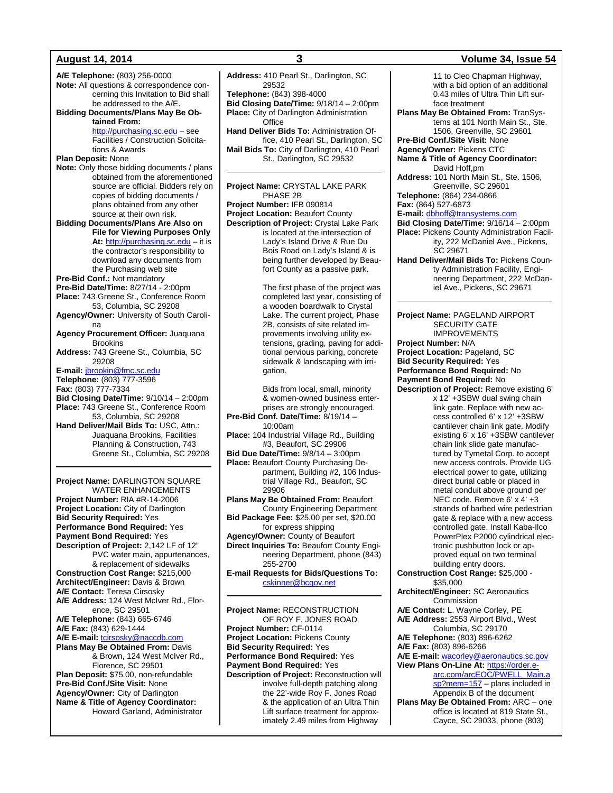**A/E Telephone:** (803) 256-0000 **Note:** All questions & correspondence concerning this Invitation to Bid shall be addressed to the A/E. **Bidding Documents/Plans May Be Obtained From:** [http://purchasing.sc.edu](http://purchasing.sc.edu/) – see Facilities / Construction Solicitations & Awards **Plan Deposit:** None **Note:** Only those bidding documents / plans obtained from the aforementioned source are official. Bidders rely on copies of bidding documents / plans obtained from any other source at their own risk. **Bidding Documents/Plans Are Also on File for Viewing Purposes Only At:** [http://purchasing.sc.edu](http://purchasing.sc.edu/) – it is the contractor's responsibility to download any documents from the Purchasing web site **Pre-Bid Conf.:** Not mandatory **Pre-Bid Date/Time:** 8/27/14 - 2:00pm **Place:** 743 Greene St., Conference Room 53, Columbia, SC 29208 **Agency/Owner:** University of South Carolina **Agency Procurement Officer:** Juaquana **Brookins Address:** 743 Greene St., Columbia, SC 29208 **E-mail:** [jbrookin@fmc.sc.edu](mailto:jbrookin@fmc.sc.edu) **Telephone:** (803) 777-3596 **Fax:** (803) 777-7334 **Bid Closing Date/Time:** 9/10/14 – 2:00pm **Place:** 743 Greene St., Conference Room 53, Columbia, SC 29208 **Hand Deliver/Mail Bids To:** USC, Attn.: Juaquana Brookins, Facilities Planning & Construction, 743 Greene St., Columbia, SC 29208 **Project Name:** DARLINGTON SQUARE WATER ENHANCEMENTS **Project Number:** RIA #R-14-2006 **Project Location:** City of Darlington

**Bid Security Required:** Yes **Performance Bond Required:** Yes **Payment Bond Required:** Yes **Description of Project:** 2,142 LF of 12" PVC water main, appurtenances, & replacement of sidewalks **Construction Cost Range:** \$215,000 **Architect/Engineer:** Davis & Brown **A/E Contact:** Teresa Cirsosky **A/E Address:** 124 West McIver Rd., Florence, SC 29501 **A/E Telephone:** (843) 665-6746 **A/E Fax:** (843) 629-1444 **A/E E-mail:** [tcirsosky@naccdb.com](mailto:tcirsosky@naccdb.com) **Plans May Be Obtained From:** Davis & Brown, 124 West McIver Rd., Florence, SC 29501 **Plan Deposit:** \$75.00, non-refundable **Pre-Bid Conf./Site Visit:** None **Agency/Owner:** City of Darlington **Name & Title of Agency Coordinator:** Howard Garland, Administrator

**Address:** 410 Pearl St., Darlington, SC 29532 **Telephone:** (843) 398-4000 **Bid Closing Date/Time:** 9/18/14 – 2:00pm **Place:** City of Darlington Administration **Office Hand Deliver Bids To:** Administration Office, 410 Pearl St., Darlington, SC **Mail Bids To:** City of Darlington, 410 Pearl St., Darlington, SC 29532

**Project Name:** CRYSTAL LAKE PARK PHASE 2B **Project Number:** IFB 090814 **Project Location:** Beaufort County **Description of Project:** Crystal Lake Park is located at the intersection of Lady's Island Drive & Rue Du Bois Road on Lady's Island & is being further developed by Beaufort County as a passive park.

> The first phase of the project was completed last year, consisting of a wooden boardwalk to Crystal Lake. The current project, Phase 2B, consists of site related improvements involving utility extensions, grading, paving for additional pervious parking, concrete sidewalk & landscaping with irrigation.

Bids from local, small, minority & women-owned business enterprises are strongly encouraged. **Pre-Bid Conf. Date/Time:** 8/19/14 – 10:00am **Place:** 104 Industrial Village Rd., Building #3, Beaufort, SC 29906 **Bid Due Date/Time:** 9/8/14 – 3:00pm **Place:** Beaufort County Purchasing Department, Building #2, 106 Industrial Village Rd., Beaufort, SC 29906 **Plans May Be Obtained From:** Beaufort County Engineering Department **Bid Package Fee:** \$25.00 per set, \$20.00

for express shipping **Agency/Owner:** County of Beaufort **Direct Inquiries To:** Beaufort County Engineering Department, phone (843) 255-2700

**E-mail Requests for Bids/Questions To:** [cskinner@bcgov.net](mailto:cskinner@bcgov.net)

**Project Name:** RECONSTRUCTION OF ROY F. JONES ROAD **Project Number:** CF-0114 **Project Location:** Pickens County **Bid Security Required:** Yes **Performance Bond Required:** Yes **Payment Bond Required:** Yes **Description of Project:** Reconstruction will involve full-depth patching along the 22'-wide Roy F. Jones Road & the application of an Ultra Thin Lift surface treatment for approximately 2.49 miles from Highway

**August 14, 2014 3 Volume 34, Issue 54** 11 to Cleo Chapman Highway, with a bid option of an additional 0.43 miles of Ultra Thin Lift surface treatment **Plans May Be Obtained From:** TranSystems at 101 North Main St., Ste. 1506, Greenville, SC 29601 **Pre-Bid Conf./Site Visit:** None **Agency/Owner:** Pickens CTC **Name & Title of Agency Coordinator:** David Hoff,pm **Address:** 101 North Main St., Ste. 1506, Greenville, SC 29601 **Telephone:** (864) 234-0866 **Fax:** (864) 527-6873 **E-mail:** [dbhoff@transystems.com](mailto:dbhoff@transystems.com) **Bid Closing Date/Time:** 9/16/14 – 2:00pm **Place:** Pickens County Administration Facility, 222 McDaniel Ave., Pickens, SC 29671 **Hand Deliver/Mail Bids To:** Pickens County Administration Facility, Engineering Department, 222 McDaniel Ave., Pickens, SC 29671 **Project Name:** PAGELAND AIRPORT SECURITY GATE IMPROVEMENTS **Project Number:** N/A **Project Location:** Pageland, SC **Bid Security Required:** Yes **Performance Bond Required:** No **Payment Bond Required:** No **Description of Project:** Remove existing 6' x 12' +3SBW dual swing chain link gate. Replace with new access controlled 6' x 12' +3SBW cantilever chain link gate. Modify existing 6' x 16' +3SBW cantilever chain link slide gate manufactured by Tymetal Corp. to accept new access controls. Provide UG electrical power to gate, utilizing direct burial cable or placed in metal conduit above ground per NEC code. Remove 6' x 4' +3 strands of barbed wire pedestrian gate & replace with a new access controlled gate. Install Kaba-Ilco PowerPlex P2000 cylindrical electronic pushbutton lock or approved equal on two terminal building entry doors. **Construction Cost Range:** \$25,000 - \$35,000 **Architect/Engineer:** SC Aeronautics Commission **A/E Contact:** L. Wayne Corley, PE **A/E Address:** 2553 Airport Blvd., West Columbia, SC 29170 **A/E Telephone:** (803) 896-6262 **A/E Fax:** (803) 896-6266 **A/E E-mail:** [wacorley@aeronautics.sc.gov](mailto:wacorley@aeronautics.sc.gov) **View Plans On-Line At:** [https://order.e-](https://order.e-arc.com/arcEOC/PWELL_Main.asp?mem=157)

[arc.com/arcEOC/PWELL\\_Main.a](https://order.e-arc.com/arcEOC/PWELL_Main.asp?mem=157) [sp?mem=157](https://order.e-arc.com/arcEOC/PWELL_Main.asp?mem=157) – plans included in Appendix B of the document

**Plans May Be Obtained From:** ARC – one office is located at 819 State St., Cayce, SC 29033, phone (803)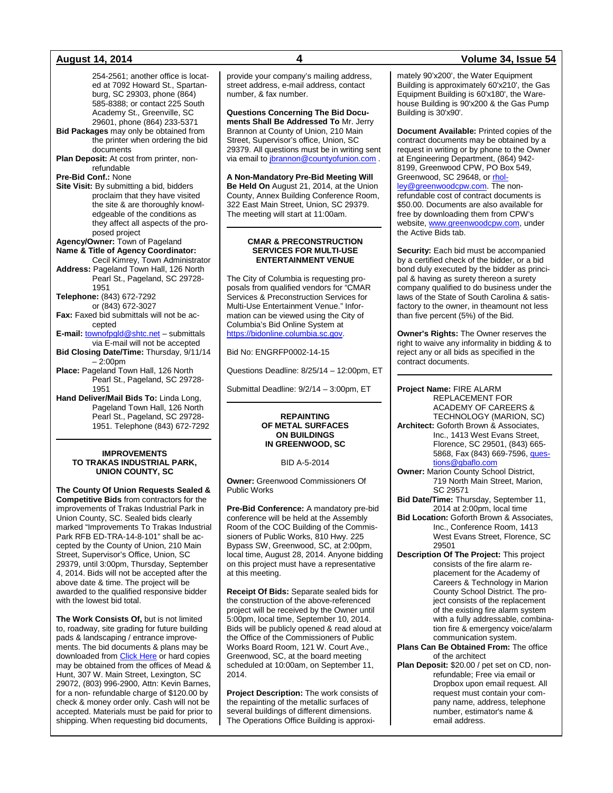254-2561; another office is located at 7092 Howard St., Spartanburg, SC 29303, phone (864) 585-8388; or contact 225 South Academy St., Greenville, SC 29601, phone (864) 233-5371

- **Bid Packages** may only be obtained from the printer when ordering the bid documents
- **Plan Deposit:** At cost from printer, nonrefundable

## **Pre-Bid Conf.:** None

**Site Visit:** By submitting a bid, bidders proclaim that they have visited the site & are thoroughly knowledgeable of the conditions as they affect all aspects of the proposed project

**Agency/Owner:** Town of Pageland **Name & Title of Agency Coordinator:**

Cecil Kimrey, Town Administrator **Address:** Pageland Town Hall, 126 North Pearl St., Pageland, SC 29728- 1951

**Telephone:** (843) 672-7292

- or (843) 672-3027 **Fax:** Faxed bid submittals will not be ac-
- cepted **E-mail:** [townofpgld@shtc.net](mailto:townofpgld@shtc.net) – submittals

via E-mail will not be accepted **Bid Closing Date/Time:** Thursday, 9/11/14

- 2:00pm
- **Place:** Pageland Town Hall, 126 North Pearl St., Pageland, SC 29728- 1951
- **Hand Deliver/Mail Bids To:** Linda Long, Pageland Town Hall, 126 North Pearl St., Pageland, SC 29728- 1951. Telephone (843) 672-7292

### **IMPROVEMENTS TO TRAKAS INDUSTRIAL PARK, UNION COUNTY, SC**

**The County Of Union Requests Sealed & Competitive Bids** from contractors for the improvements of Trakas Industrial Park in Union County, SC. Sealed bids clearly marked "Improvements To Trakas Industrial Park RFB ED-TRA-14-8-101" shall be accepted by the County of Union, 210 Main Street, Supervisor's Office, Union, SC 29379, until 3:00pm, Thursday, September 4, 2014. Bids will not be accepted after the above date & time. The project will be awarded to the qualified responsive bidder with the lowest bid total.

**The Work Consists Of,** but is not limited to, roadway, site grading for future building pads & landscaping / entrance improvements. The bid documents & plans may be downloaded from **[Click Here](http://www.countyofunion.org/site/cpage.asp?cpage_id=180025170&sec_id=180003405)** or hard copies may be obtained from the offices of Mead & Hunt, 307 W. Main Street, Lexington, SC 29072, (803) 996-2900, Attn: Kevin Barnes, for a non- refundable charge of \$120.00 by check & money order only. Cash will not be accepted. Materials must be paid for prior to shipping. When requesting bid documents,

provide your company's mailing address, street address, e-mail address, contact number, & fax number.

**Questions Concerning The Bid Documents Shall Be Addressed To** Mr. Jerry Brannon at County of Union, 210 Main Street, Supervisor's office, Union, SC 29379. All questions must be in writing sent via email to *ibrannon@countyofunion.com* 

**A Non-Mandatory Pre-Bid Meeting Will Be Held On** August 21, 2014, at the Union County, Annex Building Conference Room, 322 East Main Street, Union, SC 29379. The meeting will start at 11:00am.

## **CMAR & PRECONSTRUCTION SERVICES FOR MULTI-USE ENTERTAINMENT VENUE**

The City of Columbia is requesting proposals from qualified vendors for "CMAR Services & Preconstruction Services for Multi-Use Entertainment Venue." Information can be viewed using the City of Columbia's Bid Online System at [https://bidonline.columbia.sc.gov.](https://bidonline.columbia.sc.gov/)

Bid No: ENGRFP0002-14-15

Questions Deadline: 8/25/14 – 12:00pm, ET

Submittal Deadline: 9/2/14 – 3:00pm, ET

### **REPAINTING OF METAL SURFACES ON BUILDINGS IN GREENWOOD, SC**

## BID A-5-2014

**Owner:** Greenwood Commissioners Of Public Works

**Pre-Bid Conference:** A mandatory pre-bid conference will be held at the Assembly Room of the COC Building of the Commissioners of Public Works, 810 Hwy. 225 Bypass SW, Greenwood, SC, at 2:00pm, local time, August 28, 2014. Anyone bidding on this project must have a representative at this meeting.

**Receipt Of Bids:** Separate sealed bids for the construction of the above-referenced project will be received by the Owner until 5:00pm, local time, September 10, 2014. Bids will be publicly opened & read aloud at the Office of the Commissioners of Public Works Board Room, 121 W. Court Ave., Greenwood, SC, at the board meeting scheduled at 10:00am, on September 11, 2014.

**Project Description:** The work consists of the repainting of the metallic surfaces of several buildings of different dimensions. The Operations Office Building is approxi-

### mately 90'x200', the Water Equipment Building is approximately 60'x210', the Gas Equipment Building is 60'x180', the Warehouse Building is 90'x200 & the Gas Pump Building is 30'x90'.

**Document Available:** Printed copies of the contract documents may be obtained by a request in writing or by phone to the Owner at Engineering Department, (864) 942- 8199, Greenwood CPW, PO Box 549, Greenwood, SC 29648, or [rhol](mailto:rholley@greenwoodcpw.com)[ley@greenwoodcpw.com.](mailto:rholley@greenwoodcpw.com) The nonrefundable cost of contract documents is \$50.00. Documents are also available for free by downloading them from CPW's website[, www.greenwoodcpw.com,](http://www.greenwoodcpw.com/) under the Active Bids tab.

**Security:** Each bid must be accompanied by a certified check of the bidder, or a bid bond duly executed by the bidder as principal & having as surety thereon a surety company qualified to do business under the laws of the State of South Carolina & satisfactory to the owner, in theamount not less than five percent (5%) of the Bid.

**Owner's Rights:** The Owner reserves the right to waive any informality in bidding & to reject any or all bids as specified in the contract documents.

**Project Name:** FIRE ALARM REPLACEMENT FOR ACADEMY OF CAREERS & TECHNOLOGY (MARION, SC) **Architect:** Goforth Brown & Associates, Inc., 1413 West Evans Street, Florence, SC 29501, (843) 665- 5868, Fax (843) 669-7596, [ques-](mailto:questions@gbaflo.com)

### [tions@gbaflo.com](mailto:questions@gbaflo.com) **Owner:** Marion County School District, 719 North Main Street, Marion, SC 29571

- **Bid Date/Time:** Thursday, September 11, 2014 at 2:00pm, local time
- **Bid Location:** Goforth Brown & Associates, Inc., Conference Room, 1413 West Evans Street, Florence, SC 29501
- **Description Of The Project:** This project consists of the fire alarm replacement for the Academy of Careers & Technology in Marion County School District. The project consists of the replacement of the existing fire alarm system with a fully addressable, combination fire & emergency voice/alarm communication system.

## **Plans Can Be Obtained From:** The office of the architect

**Plan Deposit:** \$20.00 / pet set on CD, nonrefundable; Free via email or Dropbox upon email request. All request must contain your company name, address, telephone number, estimator's name & email address.

## **August 14, 2014 4 Volume 34, Issue 54**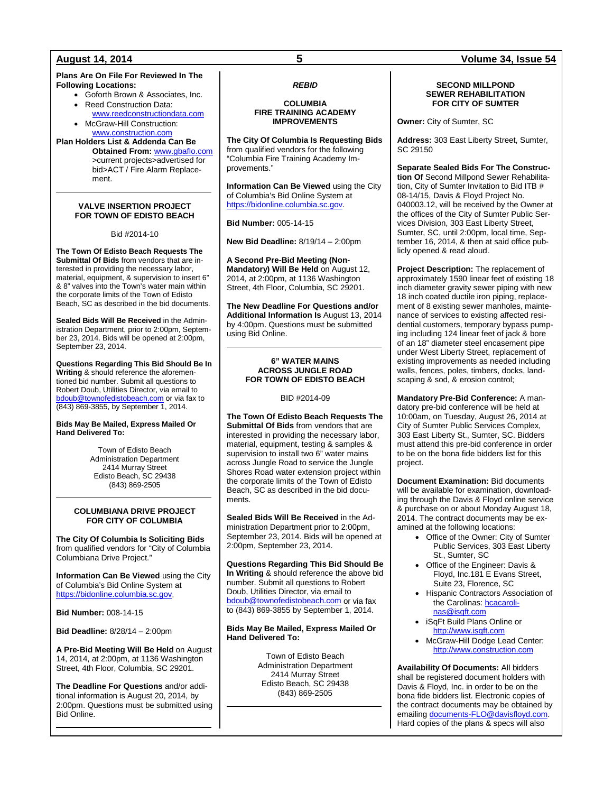## **Plans Are On File For Reviewed In The Following Locations:**

- Goforth Brown & Associates, Inc. • Reed Construction Data:
- [www.reedconstructiondata.com](http://www.reedconstructiondata.com/) • McGraw-Hill Construction:

[www.construction.com](http://www.construction.com/)

**Plan Holders List & Addenda Can Be Obtained From:** [www.gbaflo.com](http://www.gbaflo.com/) >current projects>advertised for bid>ACT / Fire Alarm Replacement.

## **VALVE INSERTION PROJECT FOR TOWN OF EDISTO BEACH**

## Bid #2014-10

**The Town Of Edisto Beach Requests The Submittal Of Bids** from vendors that are interested in providing the necessary labor, material, equipment, & supervision to insert 6" & 8" valves into the Town's water main within the corporate limits of the Town of Edisto Beach, SC as described in the bid documents.

**Sealed Bids Will Be Received** in the Administration Department, prior to 2:00pm, September 23, 2014. Bids will be opened at 2:00pm, September 23, 2014.

**Questions Regarding This Bid Should Be In Writing** & should reference the aforementioned bid number. Submit all questions to Robert Doub, Utilities Director, via email to doub@townofedistobeach.com or via fax to (843) 869-3855, by September 1, 2014.

## **Bids May Be Mailed, Express Mailed Or Hand Delivered To:**

Town of Edisto Beach Administration Department 2414 Murray Street Edisto Beach, SC 29438 (843) 869-2505

## **COLUMBIANA DRIVE PROJECT FOR CITY OF COLUMBIA**

**The City Of Columbia Is Soliciting Bids** from qualified vendors for "City of Columbia Columbiana Drive Project."

**Information Can Be Viewed** using the City of Columbia's Bid Online System at [https://bidonline.columbia.sc.gov.](https://bidonline.columbia.sc.gov/)

**Bid Number:** 008-14-15

**Bid Deadline:** 8/28/14 – 2:00pm

**A Pre-Bid Meeting Will Be Held** on August 14, 2014, at 2:00pm, at 1136 Washington Street, 4th Floor, Columbia, SC 29201.

**The Deadline For Questions** and/or additional information is August 20, 2014, by 2:00pm. Questions must be submitted using Bid Online.

## *REBID*

## **COLUMBIA FIRE TRAINING ACADEMY IMPROVEMENTS**

**The City Of Columbia Is Requesting Bids**  from qualified vendors for the following "Columbia Fire Training Academy Improvements."

**Information Can Be Viewed** using the City of Columbia's Bid Online System at [https://bidonline.columbia.sc.gov.](https://bidonline.columbia.sc.gov/)

## **Bid Number:** 005-14-15

**New Bid Deadline:** 8/19/14 – 2:00pm

**A Second Pre-Bid Meeting (Non-Mandatory) Will Be Held** on August 12, 2014, at 2:00pm, at 1136 Washington Street, 4th Floor, Columbia, SC 29201.

**The New Deadline For Questions and/or Additional Information Is** August 13, 2014 by 4:00pm. Questions must be submitted using Bid Online.

### **6" WATER MAINS ACROSS JUNGLE ROAD FOR TOWN OF EDISTO BEACH**

## BID #2014-09

**The Town Of Edisto Beach Requests The Submittal Of Bids** from vendors that are interested in providing the necessary labor, material, equipment, testing & samples & supervision to install two 6" water mains across Jungle Road to service the Jungle Shores Road water extension project within the corporate limits of the Town of Edisto Beach, SC as described in the bid documents.

**Sealed Bids Will Be Received** in the Administration Department prior to 2:00pm, September 23, 2014. Bids will be opened at 2:00pm, September 23, 2014.

**Questions Regarding This Bid Should Be In Writing** & should reference the above bid number. Submit all questions to Robert Doub, Utilities Director, via email to [bdoub@townofedistobeach.com](mailto:bdoub@townofedistobeach.com) or via fax to (843) 869-3855 by September 1, 2014.

## **Bids May Be Mailed, Express Mailed Or Hand Delivered To:**

Town of Edisto Beach Administration Department 2414 Murray Street Edisto Beach, SC 29438 (843) 869-2505

## **SECOND MILLPOND SEWER REHABILITATION FOR CITY OF SUMTER**

**Owner:** City of Sumter, SC

**Address:** 303 East Liberty Street, Sumter, SC 29150

**Separate Sealed Bids For The Construction Of** Second Millpond Sewer Rehabilitation, City of Sumter Invitation to Bid ITB # 08-14/15, Davis & Floyd Project No. 040003.12, will be received by the Owner at the offices of the City of Sumter Public Services Division, 303 East Liberty Street, Sumter, SC, until 2:00pm, local time, September 16, 2014, & then at said office publicly opened & read aloud.

**Project Description:** The replacement of approximately 1590 linear feet of existing 18 inch diameter gravity sewer piping with new 18 inch coated ductile iron piping, replacement of 8 existing sewer manholes, maintenance of services to existing affected residential customers, temporary bypass pumping including 124 linear feet of jack & bore of an 18" diameter steel encasement pipe under West Liberty Street, replacement of existing improvements as needed including walls, fences, poles, timbers, docks, landscaping & sod, & erosion control;

**Mandatory Pre-Bid Conference:** A mandatory pre-bid conference will be held at 10:00am, on Tuesday, August 26, 2014 at City of Sumter Public Services Complex, 303 East Liberty St., Sumter, SC. Bidders must attend this pre-bid conference in order to be on the bona fide bidders list for this project.

**Document Examination:** Bid documents will be available for examination, downloading through the Davis & Floyd online service & purchase on or about Monday August 18, 2014. The contract documents may be examined at the following locations:

- Office of the Owner: City of Sumter Public Services, 303 East Liberty St., Sumter, SC
- Office of the Engineer: Davis & Floyd, Inc.181 E Evans Street, Suite 23, Florence, SC
- Hispanic Contractors Association of the Carolinas[: hcacaroli](mailto:Boston@isqft.com)[nas@isqft.com](mailto:Boston@isqft.com)
- iSqFt Build Plans Online or [http://www.isqft.com](http://www.isqft.com/)
- McGraw-Hill Dodge Lead Center: [http://www.construction.com](http://www.construction.com/)

**Availability Of Documents:** All bidders shall be registered document holders with Davis & Floyd, Inc. in order to be on the bona fide bidders list. Electronic copies of the contract documents may be obtained by emailing [documents-FLO@davisfloyd.com.](mailto:documents-FLO@davisfloyd.com) Hard copies of the plans & specs will also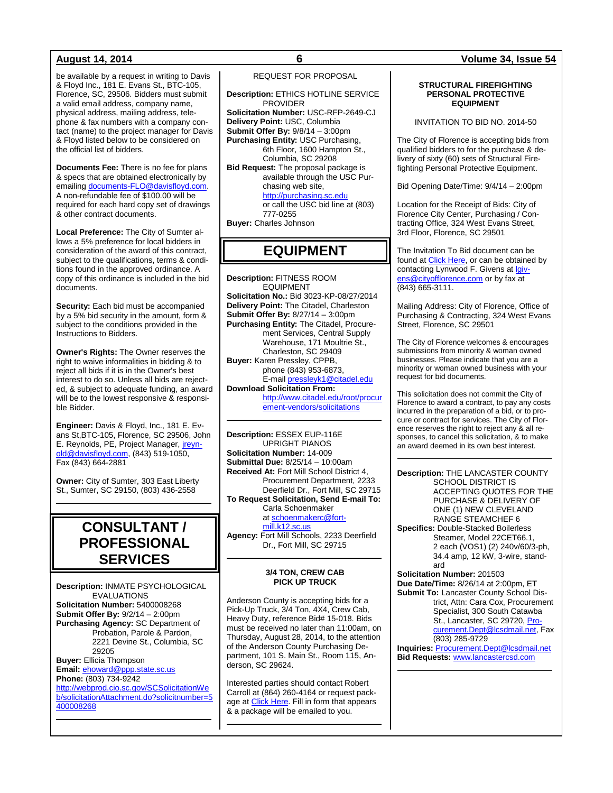be available by a request in writing to Davis & Floyd Inc., 181 E. Evans St., BTC-105, Florence, SC, 29506. Bidders must submit a valid email address, company name, physical address, mailing address, telephone & fax numbers with a company contact (name) to the project manager for Davis & Floyd listed below to be considered on the official list of bidders.

**Documents Fee:** There is no fee for plans & specs that are obtained electronically by emailin[g documents-FLO@davisfloyd.com.](mailto:documents-FLO@davisfloyd.com) A non-refundable fee of \$100.00 will be required for each hard copy set of drawings & other contract documents.

**Local Preference:** The City of Sumter allows a 5% preference for local bidders in consideration of the award of this contract, subject to the qualifications, terms & conditions found in the approved ordinance. A copy of this ordinance is included in the bid documents.

**Security:** Each bid must be accompanied by a 5% bid security in the amount, form & subject to the conditions provided in the Instructions to Bidders.

**Owner's Rights:** The Owner reserves the right to waive informalities in bidding & to reject all bids if it is in the Owner's best interest to do so. Unless all bids are rejected, & subject to adequate funding, an award will be to the lowest responsive & responsible Bidder.

**Engineer:** Davis & Floyd, Inc., 181 E. Evans St,BTC-105, Florence, SC 29506, John E. Reynolds, PE, Project Manager, [jreyn](mailto:jreynold@davisfloyd.com)[old@davisfloyd.com,](mailto:jreynold@davisfloyd.com) (843) 519-1050, Fax (843) 664-2881

**Owner:** City of Sumter, 303 East Liberty St., Sumter, SC 29150, (803) 436-2558

## **CONSULTANT / PROFESSIONAL SERVICES**

**Description:** INMATE PSYCHOLOGICAL EVALUATIONS **Solicitation Number:** 5400008268 **Submit Offer By:** 9/2/14 – 2:00pm **Purchasing Agency:** SC Department of Probation, Parole & Pardon, 2221 Devine St., Columbia, SC 29205 **Buyer:** Ellicia Thompson **Email:** [ehoward@ppp.state.sc.us](mailto:ehoward@ppp.state.sc.us) **Phone:** (803) 734-9242 [http://webprod.cio.sc.gov/SCSolicitationWe](http://webprod.cio.sc.gov/SCSolicitationWeb/solicitationAttachment.do?solicitnumber=5400008268) [b/solicitationAttachment.do?solicitnumber=5](http://webprod.cio.sc.gov/SCSolicitationWeb/solicitationAttachment.do?solicitnumber=5400008268) [400008268](http://webprod.cio.sc.gov/SCSolicitationWeb/solicitationAttachment.do?solicitnumber=5400008268)

## REQUEST FOR PROPOSAL

**Description:** ETHICS HOTLINE SERVICE PROVIDER **Solicitation Number:** USC-RFP-2649-CJ **Delivery Point:** USC, Columbia **Submit Offer By:** 9/8/14 – 3:00pm **Purchasing Entity:** USC Purchasing, 6th Floor, 1600 Hampton St., Columbia, SC 29208 **Bid Request:** The proposal package is available through the USC Purchasing web site, [http://purchasing.sc.edu](http://purchasing.sc.edu/) or call the USC bid line at (803) 777-0255 **Buyer:** Charles Johnson

## **EQUIPMENT**

**Description:** FITNESS ROOM **EQUIPMENT Solicitation No.:** Bid 3023-KP-08/27/2014 **Delivery Point:** The Citadel, Charleston **Submit Offer By:** 8/27/14 – 3:00pm **Purchasing Entity:** The Citadel, Procurement Services, Central Supply Warehouse, 171 Moultrie St., Charleston, SC 29409 **Buyer:** Karen Pressley, CPPB, phone (843) 953-6873, E-mai[l pressleyk1@citadel.edu](mailto:pressleyk1@citadel.edu) **Download Solicitation From:** 

[http://www.citadel.edu/root/procur](http://www.citadel.edu/root/procurement-vendors/solicitations) [ement-vendors/solicitations](http://www.citadel.edu/root/procurement-vendors/solicitations) 

**Description:** ESSEX EUP-116E UPRIGHT PIANOS **Solicitation Number:** 14-009 **Submittal Due:** 8/25/14 – 10:00am **Received At:** Fort Mill School District 4, Procurement Department, 2233 Deerfield Dr., Fort Mill, SC 29715 **To Request Solicitation, Send E-mail To:** Carla Schoenmaker a[t schoenmakerc@fort-](mailto:schoenmakerc@fort-mill.k12.sc.us)

[mill.k12.sc.us](mailto:schoenmakerc@fort-mill.k12.sc.us) **Agency:** Fort Mill Schools, 2233 Deerfield Dr., Fort Mill, SC 29715

## **3/4 TON, CREW CAB PICK UP TRUCK**

Anderson County is accepting bids for a Pick-Up Truck, 3/4 Ton, 4X4, Crew Cab, Heavy Duty, reference Bid# 15-018. Bids must be received no later than 11:00am, on Thursday, August 28, 2014, to the attention of the Anderson County Purchasing Department, 101 S. Main St., Room 115, Anderson, SC 29624.

Interested parties should contact Robert Carroll at (864) 260-4164 or request pack-age at [Click Here.](http://www.andersoncountysc.org/WEB/Purchasing_01.asp) Fill in form that appears & a package will be emailed to you.

### **STRUCTURAL FIREFIGHTING PERSONAL PROTECTIVE EQUIPMENT**

INVITATION TO BID NO. 2014-50

The City of Florence is accepting bids from qualified bidders to for the purchase & delivery of sixty (60) sets of Structural Firefighting Personal Protective Equipment.

Bid Opening Date/Time: 9/4/14 – 2:00pm

Location for the Receipt of Bids: City of Florence City Center, Purchasing / Contracting Office, 324 West Evans Street, 3rd Floor, Florence, SC 29501

The Invitation To Bid document can be found at [Click Here,](http://www.cityofflorence.com/departments/finance/purchasing.aspx) or can be obtained by contacting Lynwood F. Givens at [lgiv](mailto:lgivens@cityofflorence.com)[ens@cityofflorence.com](mailto:lgivens@cityofflorence.com)</u> or by fax at (843) 665-3111.

Mailing Address: City of Florence, Office of Purchasing & Contracting, 324 West Evans Street, Florence, SC 29501

The City of Florence welcomes & encourages submissions from minority & woman owned businesses. Please indicate that you are a minority or woman owned business with your request for bid documents.

This solicitation does not commit the City of Florence to award a contract, to pay any costs incurred in the preparation of a bid, or to procure or contract for services. The City of Florence reserves the right to reject any & all responses, to cancel this solicitation, & to make an award deemed in its own best interest.

**Description:** THE LANCASTER COUNTY SCHOOL DISTRICT IS ACCEPTING QUOTES FOR THE PURCHASE & DELIVERY OF ONE (1) NEW CLEVELAND RANGE STEAMCHEF 6 **Specifics:** Double-Stacked Boilerless Steamer, Model 22CET66.1, 2 each (VOS1) (2) 240v/60/3-ph, 34.4 amp, 12 kW, 3-wire, standard **Solicitation Number:** 201503 **Due Date/Time:** 8/26/14 at 2:00pm, ET **Submit To:** Lancaster County School District, Attn: Cara Cox, Procurement Specialist, 300 South Catawba

St., Lancaster, SC 29720, [Pro](mailto:Procurement.Dept@lcsdmail.net)[curement.Dept@lcsdmail.net,](mailto:Procurement.Dept@lcsdmail.net) Fax (803) 285-9729

**Inquiries:** [Procurement.Dept@lcsdmail.net](mailto:Procurement.Dept@lcsdmail.net) **Bid Requests:** [www.lancastercsd.com](http://www.lancastercsd.com/)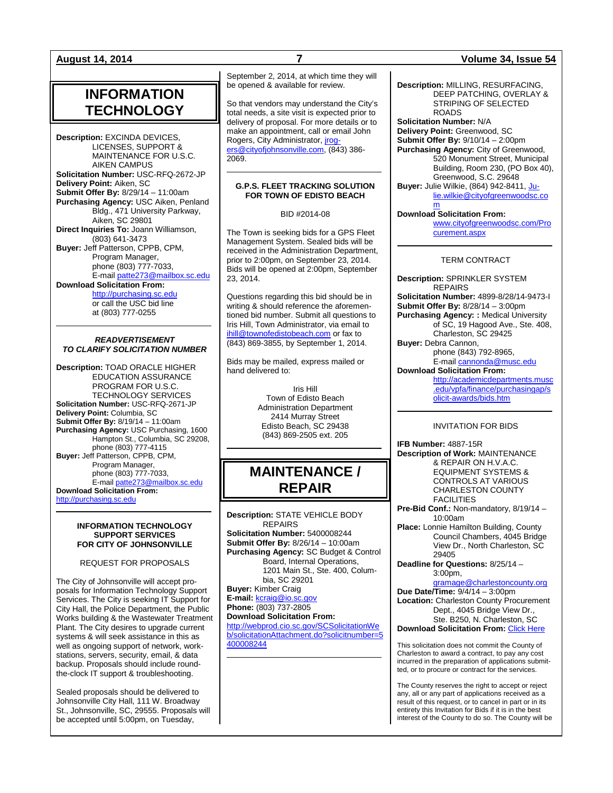## **INFORMATION TECHNOLOGY**

**Description:** EXCINDA DEVICES, LICENSES, SUPPORT & MAINTENANCE FOR U.S.C. AIKEN CAMPUS **Solicitation Number:** USC-RFQ-2672-JP **Delivery Point:** Aiken, SC **Submit Offer By:** 8/29/14 – 11:00am **Purchasing Agency:** USC Aiken, Penland Bldg., 471 University Parkway, Aiken, SC 29801 **Direct Inquiries To:** Joann Williamson, (803) 641-3473 **Buyer:** Jeff Patterson, CPPB, CPM, Program Manager. phone (803) 777-7033, E-mail [patte273@mailbox.sc.edu](mailto:patte273@mailbox.sc.edu) **Download Solicitation From:** [http://purchasing.sc.edu](http://purchasing.sc.edu/) or call the USC bid line at (803) 777-0255

## *READVERTISEMENT TO CLARIFY SOLICITATION NUMBER*

**Description:** TOAD ORACLE HIGHER EDUCATION ASSURANCE PROGRAM FOR U.S.C. TECHNOLOGY SERVICES **Solicitation Number:** USC-RFQ-2671-JP **Delivery Point:** Columbia, SC **Submit Offer By:** 8/19/14 – 11:00am **Purchasing Agency:** USC Purchasing, 1600 Hampton St., Columbia, SC 29208, phone (803) 777-4115 **Buyer:** Jeff Patterson, CPPB, CPM, Program Manager, phone (803) 777-7033, E-mai[l patte273@mailbox.sc.edu](mailto:patte273@mailbox.sc.edu) **Download Solicitation From:** [http://purchasing.sc.edu](http://purchasing.sc.edu/)

## **INFORMATION TECHNOLOGY SUPPORT SERVICES FOR CITY OF JOHNSONVILLE**

REQUEST FOR PROPOSALS

The City of Johnsonville will accept proposals for Information Technology Support Services. The City is seeking IT Support for City Hall, the Police Department, the Public Works building & the Wastewater Treatment Plant. The City desires to upgrade current systems & will seek assistance in this as well as ongoing support of network, workstations, servers, security, email, & data backup. Proposals should include roundthe-clock IT support & troubleshooting.

Sealed proposals should be delivered to Johnsonville City Hall, 111 W. Broadway St., Johnsonville, SC, 29555. Proposals will be accepted until 5:00pm, on Tuesday,

September 2, 2014, at which time they will be opened & available for review.

So that vendors may understand the City's total needs, a site visit is expected prior to delivery of proposal. For more details or to make an appointment, call or email John Rogers, City Administrator, *jrog*[ers@cityofjohnsonville.com,](mailto:jrogers@cityofjohnsonville.com) (843) 386- 2069.

## **G.P.S. FLEET TRACKING SOLUTION FOR TOWN OF EDISTO BEACH**

BID #2014-08

The Town is seeking bids for a GPS Fleet Management System. Sealed bids will be received in the Administration Department, prior to 2:00pm, on September 23, 2014. Bids will be opened at 2:00pm, September 23, 2014.

Questions regarding this bid should be in writing & should reference the aforementioned bid number. Submit all questions to Iris Hill, Town Administrator, via email to [ihill@townofedistobeach.com](mailto:ihill@townofedistobeach.com) or fax to (843) 869-3855, by September 1, 2014.

Bids may be mailed, express mailed or hand delivered to:

> Iris Hill Town of Edisto Beach Administration Department 2414 Murray Street Edisto Beach, SC 29438 (843) 869-2505 ext. 205

## **MAINTENANCE / REPAIR**

**Description:** STATE VEHICLE BODY REPAIRS **Solicitation Number:** 5400008244 **Submit Offer By:** 8/26/14 – 10:00am **Purchasing Agency:** SC Budget & Control Board, Internal Operations, 1201 Main St., Ste. 400, Columbia, SC 29201 **Buyer:** Kimber Craig **E-mail:** [kcraig@io.sc.gov](mailto:kcraig@io.sc.gov) **Phone:** (803) 737-2805 **Download Solicitation From:** [http://webprod.cio.sc.gov/SCSolicitationWe](http://webprod.cio.sc.gov/SCSolicitationWeb/solicitationAttachment.do?solicitnumber=5400008244) [b/solicitationAttachment.do?solicitnumber=5](http://webprod.cio.sc.gov/SCSolicitationWeb/solicitationAttachment.do?solicitnumber=5400008244) [400008244](http://webprod.cio.sc.gov/SCSolicitationWeb/solicitationAttachment.do?solicitnumber=5400008244)

## **August 14, 2014 7 Volume 34, Issue 54**

**Description:** MILLING, RESURFACING, DEEP PATCHING, OVERLAY & STRIPING OF SELECTED ROADS

**Solicitation Number:** N/A **Delivery Point:** Greenwood, SC **Submit Offer By:** 9/10/14 – 2:00pm **Purchasing Agency:** City of Greenwood, 520 Monument Street, Municipal Building, Room 230, (PO Box 40), Greenwood, S.C. 29648 **Buyer:** Julie Wilkie, (864) 942-8411, [Ju-](mailto:Julie.wilkie@cityofgreenwoodsc.com)

[lie.wilkie@cityofgreenwoodsc.co](mailto:Julie.wilkie@cityofgreenwoodsc.com) [m](mailto:Julie.wilkie@cityofgreenwoodsc.com) **Download Solicitation From:**

[www.cityofgreenwoodsc.com/Pro](http://www.cityofgreenwoodsc.com/Procurement.aspx) [curement.aspx](http://www.cityofgreenwoodsc.com/Procurement.aspx)

## TERM CONTRACT

**Description:** SPRINKLER SYSTEM REPAIRS **Solicitation Number:** 4899-8/28/14-9473-I **Submit Offer By:** 8/28/14 – 3:00pm **Purchasing Agency: :** Medical University of SC, 19 Hagood Ave., Ste. 408, Charleston, SC 29425 **Buyer:** Debra Cannon, phone (843) 792-8965, E-mai[l cannonda@musc.edu](mailto:cannonda@musc.edu) **Download Solicitation From:** [http://academicdepartments.musc](http://academicdepartments.musc.edu/vpfa/finance/purchasingap/solicit-awards/bids.htm) [.edu/vpfa/finance/purchasingap/s](http://academicdepartments.musc.edu/vpfa/finance/purchasingap/solicit-awards/bids.htm)

## INVITATION FOR BIDS

[olicit-awards/bids.htm](http://academicdepartments.musc.edu/vpfa/finance/purchasingap/solicit-awards/bids.htm)

**IFB Number:** 4887-15R **Description of Work:** MAINTENANCE & REPAIR ON H.V.A.C. EQUIPMENT SYSTEMS & CONTROLS AT VARIOUS CHARLESTON COUNTY **FACILITIES Pre-Bid Conf.:** Non-mandatory, 8/19/14 – 10:00am

**Place:** Lonnie Hamilton Building, County Council Chambers, 4045 Bridge View Dr., North Charleston, SC 29405

**Deadline for Questions:** 8/25/14 – 3:00pm,

[gramage@charlestoncounty.org](mailto:gramage@charlestoncounty.org)

**Due Date/Time:** 9/4/14 – 3:00pm **Location:** Charleston County Procurement Dept., 4045 Bridge View Dr., Ste. B250, N. Charleston, SC **Download Solicitation From: [Click Here](http://www.charlestoncounty.org/departments/Procurement/cur-bids_pdfs/current_bids.htm)** 

This solicitation does not commit the County of Charleston to award a contract, to pay any cost incurred in the preparation of applications submitted, or to procure or contract for the services.

The County reserves the right to accept or reject any, all or any part of applications received as a result of this request, or to cancel in part or in its entirety this Invitation for Bids if it is in the best interest of the County to do so. The County will be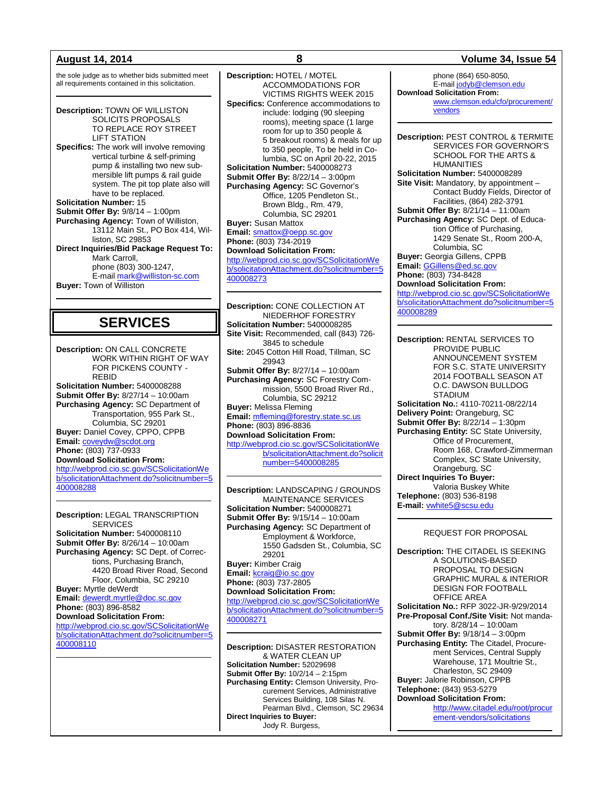the sole judge as to whether bids submitted meet all requirements contained in this solicitation.

**Description:** TOWN OF WILLISTON SOLICITS PROPOSALS TO REPLACE ROY STREET LIFT STATION **Specifics:** The work will involve removing vertical turbine & self-priming pump & installing two new submersible lift pumps & rail guide system. The pit top plate also will have to be replaced. **Solicitation Number:** 15 **Submit Offer By:** 9/8/14 – 1:00pm **Purchasing Agency:** Town of Williston, 13112 Main St., PO Box 414, Williston, SC 29853 **Direct Inquiries/Bid Package Request To:** Mark Carroll, phone (803) 300-1247, E-mail [mark@williston-sc.com](mailto:mark@williston-sc.com) **Buyer:** Town of Williston

## **SERVICES**

**Description:** ON CALL CONCRETE WORK WITHIN RIGHT OF WAY FOR PICKENS COUNTY - REBID **Solicitation Number:** 5400008288 **Submit Offer By:** 8/27/14 – 10:00am **Purchasing Agency:** SC Department of Transportation, 955 Park St., Columbia, SC 29201 **Buyer:** Daniel Covey, CPPO, CPPB **Email:** [coveydw@scdot.org](mailto:coveydw@scdot.org) **Phone:** (803) 737-0933 **Download Solicitation From:** [http://webprod.cio.sc.gov/SCSolicitationWe](http://webprod.cio.sc.gov/SCSolicitationWeb/solicitationAttachment.do?solicitnumber=5400008288) [b/solicitationAttachment.do?solicitnumber=5](http://webprod.cio.sc.gov/SCSolicitationWeb/solicitationAttachment.do?solicitnumber=5400008288) [400008288](http://webprod.cio.sc.gov/SCSolicitationWeb/solicitationAttachment.do?solicitnumber=5400008288)

**Description:** LEGAL TRANSCRIPTION **SERVICES Solicitation Number:** 5400008110 **Submit Offer By:** 8/26/14 – 10:00am **Purchasing Agency:** SC Dept. of Corrections, Purchasing Branch, 4420 Broad River Road, Second Floor, Columbia, SC 29210 **Buyer:** Myrtle deWerdt **Email:** [dewerdt.myrtle@doc.sc.gov](mailto:dewerdt.myrtle@doc.sc.gov) **Phone:** (803) 896-8582 **Download Solicitation From:** [http://webprod.cio.sc.gov/SCSolicitationWe](http://webprod.cio.sc.gov/SCSolicitationWeb/solicitationAttachment.do?solicitnumber=5400008110) [b/solicitationAttachment.do?solicitnumber=5](http://webprod.cio.sc.gov/SCSolicitationWeb/solicitationAttachment.do?solicitnumber=5400008110) [400008110](http://webprod.cio.sc.gov/SCSolicitationWeb/solicitationAttachment.do?solicitnumber=5400008110)

**Description:** HOTEL / MOTEL ACCOMMODATIONS FOR VICTIMS RIGHTS WEEK 2015 **Specifics:** Conference accommodations to include: lodging (90 sleeping rooms), meeting space (1 large room for up to 350 people & 5 breakout rooms) & meals for up to 350 people, To be held in Columbia, SC on April 20-22, 2015 **Solicitation Number:** 5400008273 **Submit Offer By:** 8/22/14 – 3:00pm **Purchasing Agency:** SC Governor's Office, 1205 Pendleton St., Brown Bldg., Rm. 479, Columbia, SC 29201 **Buyer:** Susan Mattox **Email:** [smattox@oepp.sc.gov](mailto:smattox@oepp.sc.gov) **Phone:** (803) 734-2019 **Download Solicitation From:** [http://webprod.cio.sc.gov/SCSolicitationWe](http://webprod.cio.sc.gov/SCSolicitationWeb/solicitationAttachment.do?solicitnumber=5400008273) [b/solicitationAttachment.do?solicitnumber=5](http://webprod.cio.sc.gov/SCSolicitationWeb/solicitationAttachment.do?solicitnumber=5400008273) [400008273](http://webprod.cio.sc.gov/SCSolicitationWeb/solicitationAttachment.do?solicitnumber=5400008273)

**Description:** CONE COLLECTION AT NIEDERHOF FORESTRY **Solicitation Number:** 5400008285 **Site Visit:** Recommended, call (843) 726- 3845 to schedule **Site:** 2045 Cotton Hill Road, Tillman, SC 29943 **Submit Offer By:** 8/27/14 – 10:00am **Purchasing Agency:** SC Forestry Commission, 5500 Broad River Rd., Columbia, SC 29212 **Buyer:** Melissa Fleming **Email:** [mfleming@forestry.state.sc.us](mailto:mfleming@forestry.state.sc.us) **Phone:** (803) 896-8836 **Download Solicitation From:** [http://webprod.cio.sc.gov/SCSolicitationWe](http://webprod.cio.sc.gov/SCSolicitationWeb/solicitationAttachment.do?solicitnumber=5400008285) [b/solicitationAttachment.do?solicit](http://webprod.cio.sc.gov/SCSolicitationWeb/solicitationAttachment.do?solicitnumber=5400008285) [number=5400008285](http://webprod.cio.sc.gov/SCSolicitationWeb/solicitationAttachment.do?solicitnumber=5400008285)

**Description:** LANDSCAPING / GROUNDS MAINTENANCE SERVICES **Solicitation Number:** 5400008271 **Submit Offer By:** 9/15/14 – 10:00am **Purchasing Agency:** SC Department of Employment & Workforce, 1550 Gadsden St., Columbia, SC 29201 **Buyer:** Kimber Craig **Email:** [kcraig@io.sc.gov](mailto:kcraig@io.sc.gov) **Phone:** (803) 737-2805 **Download Solicitation From:** [http://webprod.cio.sc.gov/SCSolicitationWe](http://webprod.cio.sc.gov/SCSolicitationWeb/solicitationAttachment.do?solicitnumber=5400008271) [b/solicitationAttachment.do?solicitnumber=5](http://webprod.cio.sc.gov/SCSolicitationWeb/solicitationAttachment.do?solicitnumber=5400008271) [400008271](http://webprod.cio.sc.gov/SCSolicitationWeb/solicitationAttachment.do?solicitnumber=5400008271)

**Description:** DISASTER RESTORATION & WATER CLEAN UP **Solicitation Number:** 52029698 **Submit Offer By:** 10/2/14 – 2:15pm **Purchasing Entity:** Clemson University, Procurement Services, Administrative Services Building, 108 Silas N. Pearman Blvd., Clemson, SC 29634 **Direct Inquiries to Buyer:** Jody R. Burgess,

## **August 14, 2014 8 Volume 34, Issue 54**

phone (864) 650-8050, E-mai[l jodyb@clemson.edu](mailto:jodyb@clemson.edu) **Download Solicitation From:** [www.clemson.edu/cfo/procurement/](http://www.clemson.edu/cfo/procurement/vendors) [vendors](http://www.clemson.edu/cfo/procurement/vendors)

**Description:** PEST CONTROL & TERMITE SERVICES FOR GOVERNOR'S SCHOOL FOR THE ARTS & HUMANITIES **Solicitation Number:** 5400008289 **Site Visit:** Mandatory, by appointment – Contact Buddy Fields, Director of Facilities, (864) 282-3791 **Submit Offer By:** 8/21/14 – 11:00am **Purchasing Agency:** SC Dept. of Education Office of Purchasing, 1429 Senate St., Room 200-A, Columbia, SC **Buyer:** Georgia Gillens, CPPB **Email:** [GGillens@ed.sc.gov](mailto:GGillens@ed.sc.gov)

**Phone:** (803) 734-8428 **Download Solicitation From:**

[http://webprod.cio.sc.gov/SCSolicitationWe](http://webprod.cio.sc.gov/SCSolicitationWeb/solicitationAttachment.do?solicitnumber=5400008289) [b/solicitationAttachment.do?solicitnumber=5](http://webprod.cio.sc.gov/SCSolicitationWeb/solicitationAttachment.do?solicitnumber=5400008289) [400008289](http://webprod.cio.sc.gov/SCSolicitationWeb/solicitationAttachment.do?solicitnumber=5400008289)

**Description:** RENTAL SERVICES TO PROVIDE PUBLIC ANNOUNCEMENT SYSTEM FOR S.C. STATE UNIVERSITY 2014 FOOTBALL SEASON AT O.C. DAWSON BULLDOG STADIUM **Solicitation No.:** 4110-70211-08/22/14 **Delivery Point:** Orangeburg, SC **Submit Offer By:** 8/22/14 – 1:30pm **Purchasing Entity:** SC State University, Office of Procurement, Room 168, Crawford-Zimmerman Complex, SC State University, Orangeburg, SC **Direct Inquiries To Buyer:** Valoria Buskey White **Telephone:** (803) 536-8198 **E-mail:** [vwhite5@scsu.edu](mailto:vwhite5@scsu.edu)

## REQUEST FOR PROPOSAL

**Description:** THE CITADEL IS SEEKING A SOLUTIONS-BASED PROPOSAL TO DESIGN GRAPHIC MURAL & INTERIOR DESIGN FOR FOOTBALL OFFICE AREA **Solicitation No.:** RFP 3022-JR-9/29/2014 **Pre-Proposal Conf./Site Visit:** Not mandatory. 8/28/14 – 10:00am **Submit Offer By:** 9/18/14 – 3:00pm **Purchasing Entity:** The Citadel, Procurement Services, Central Supply Warehouse, 171 Moultrie St., Charleston, SC 29409 **Buyer:** Jalorie Robinson, CPPB **Telephone:** (843) 953-5279 **Download Solicitation From:**  [http://www.citadel.edu/root/procur](http://www.citadel.edu/root/procurement-vendors/solicitations) [ement-vendors/solicitations](http://www.citadel.edu/root/procurement-vendors/solicitations)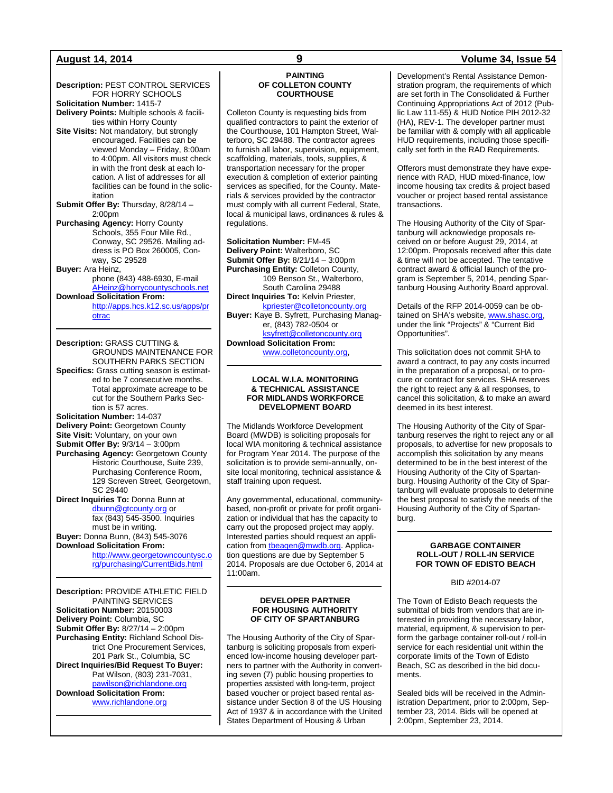## **August 14, 2014 9 Volume 34, Issue 54**

**Description:** PEST CONTROL SERVICES FOR HORRY SCHOOLS **Solicitation Number:** 1415-7 **Delivery Points:** Multiple schools & facilities within Horry County **Site Visits:** Not mandatory, but strongly encouraged. Facilities can be viewed Monday – Friday, 8:00am to 4:00pm. All visitors must check in with the front desk at each location. A list of addresses for all facilities can be found in the solicitation **Submit Offer By:** Thursday, 8/28/14 – 2:00pm **Purchasing Agency:** Horry County Schools, 355 Four Mile Rd., Conway, SC 29526. Mailing address is PO Box 260005, Conway, SC 29528

**Buyer:** Ara Heinz, phone (843) 488-6930, E-mail [AHeinz@horrycountyschools.net](mailto:AHeinz@horrycountyschools.net)

**Download Solicitation From:**

[http://apps.hcs.k12.sc.us/apps/pr](http://apps.hcs.k12.sc.us/apps/protrac) [otrac](http://apps.hcs.k12.sc.us/apps/protrac)

**Description:** GRASS CUTTING & GROUNDS MAINTENANCE FOR SOUTHERN PARKS SECTION **Specifics:** Grass cutting season is estimated to be 7 consecutive months. Total approximate acreage to be cut for the Southern Parks Section is 57 acres. **Solicitation Number:** 14-037

**Delivery Point:** Georgetown County **Site Visit:** Voluntary, on your own **Submit Offer By:** 9/3/14 – 3:00pm **Purchasing Agency:** Georgetown County

Historic Courthouse, Suite 239, Purchasing Conference Room, 129 Screven Street, Georgetown, SC 29440

**Direct Inquiries To:** Donna Bunn at [dbunn@gtcounty.org](mailto:dbunn@gtcounty.org) or fax (843) 545-3500. Inquiries must be in writing. **Buyer:** Donna Bunn, (843) 545-3076 **Download Solicitation From:**

> [http://www.georgetowncountysc.o](http://www.georgetowncountysc.org/purchasing/CurrentBids.html) [rg/purchasing/CurrentBids.html](http://www.georgetowncountysc.org/purchasing/CurrentBids.html)

**Description:** PROVIDE ATHLETIC FIELD PAINTING SERVICES **Solicitation Number:** 20150003 **Delivery Point:** Columbia, SC **Submit Offer By:** 8/27/14 – 2:00pm **Purchasing Entity:** Richland School District One Procurement Services, 201 Park St., Columbia, SC **Direct Inquiries/Bid Request To Buyer:** Pat Wilson, (803) 231-7031, [pawilson@richlandone.org](mailto:pawilson@richlandone.org) **Download Solicitation From:** [www.richlandone.org](http://www.richlandone.org/)

## **PAINTING OF COLLETON COUNTY COURTHOUSE**

Colleton County is requesting bids from qualified contractors to paint the exterior of the Courthouse, 101 Hampton Street, Walterboro, SC 29488. The contractor agrees to furnish all labor, supervision, equipment, scaffolding, materials, tools, supplies, & transportation necessary for the proper execution & completion of exterior painting services as specified, for the County. Materials & services provided by the contractor must comply with all current Federal, State, local & municipal laws, ordinances & rules & regulations.

**Solicitation Number:** FM-45 **Delivery Point:** Walterboro, SC **Submit Offer By:** 8/21/14 – 3:00pm **Purchasing Entity:** Colleton County, 109 Benson St., Walterboro, South Carolina 29488 **Direct Inquiries To:** Kelvin Priester, [kpriester@colletoncounty.org](mailto:kpriester@colletoncounty.org) **Buyer:** Kaye B. Syfrett, Purchasing Manager, (843) 782-0504 or [ksyfrett@colletoncounty.org](mailto:ksyfrett@colletoncounty.org) **Download Solicitation From:** [www.colletoncounty.org,](http://www.colletoncounty.org/)

## **LOCAL W.I.A. MONITORING & TECHNICAL ASSISTANCE FOR MIDLANDS WORKFORCE DEVELOPMENT BOARD**

The Midlands Workforce Development Board (MWDB) is soliciting proposals for local WIA monitoring & technical assistance for Program Year 2014. The purpose of the solicitation is to provide semi-annually, onsite local monitoring, technical assistance & staff training upon request.

Any governmental, educational, communitybased, non-profit or private for profit organization or individual that has the capacity to carry out the proposed project may apply. Interested parties should request an application from theagen@mwdb.org. Application questions are due by September 5 2014. Proposals are due October 6, 2014 at 11:00am.

### **DEVELOPER PARTNER FOR HOUSING AUTHORITY OF CITY OF SPARTANBURG**

The Housing Authority of the City of Spartanburg is soliciting proposals from experienced low-income housing developer partners to partner with the Authority in converting seven (7) public housing properties to properties assisted with long-term, project based voucher or project based rental assistance under Section 8 of the US Housing Act of 1937 & in accordance with the United States Department of Housing & Urban

Development's Rental Assistance Demonstration program, the requirements of which are set forth in The Consolidated & Further Continuing Appropriations Act of 2012 (Public Law 111-55) & HUD Notice PIH 2012-32 (HA), REV-1. The developer partner must be familiar with & comply with all applicable HUD requirements, including those specifically set forth in the RAD Requirements.

Offerors must demonstrate they have experience with RAD, HUD mixed-finance, low income housing tax credits & project based voucher or project based rental assistance transactions.

The Housing Authority of the City of Spartanburg will acknowledge proposals received on or before August 29, 2014, at 12:00pm. Proposals received after this date & time will not be accepted. The tentative contract award & official launch of the program is September 5, 2014, pending Spartanburg Housing Authority Board approval.

Details of the RFP 2014-0059 can be obtained on SHA's website, [www.shasc.org,](http://www.shasc.org/) under the link "Projects" & "Current Bid Opportunities".

This solicitation does not commit SHA to award a contract, to pay any costs incurred in the preparation of a proposal, or to procure or contract for services. SHA reserves the right to reject any & all responses, to cancel this solicitation, & to make an award deemed in its best interest.

The Housing Authority of the City of Spartanburg reserves the right to reject any or all proposals, to advertise for new proposals to accomplish this solicitation by any means determined to be in the best interest of the Housing Authority of the City of Spartanburg. Housing Authority of the City of Spartanburg will evaluate proposals to determine the best proposal to satisfy the needs of the Housing Authority of the City of Spartanburg.

## **GARBAGE CONTAINER ROLL-OUT / ROLL-IN SERVICE FOR TOWN OF EDISTO BEACH**

BID #2014-07

The Town of Edisto Beach requests the submittal of bids from vendors that are interested in providing the necessary labor, material, equipment, & supervision to perform the garbage container roll-out / roll-in service for each residential unit within the corporate limits of the Town of Edisto Beach, SC as described in the bid documents.

Sealed bids will be received in the Administration Department, prior to 2:00pm, September 23, 2014. Bids will be opened at 2:00pm, September 23, 2014.